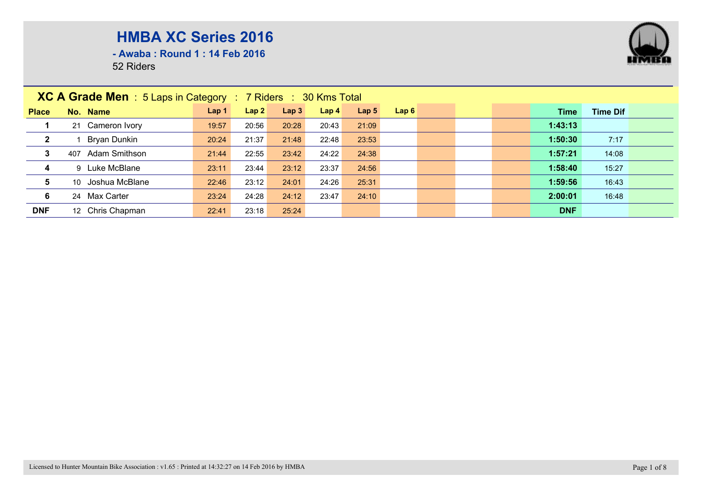

**- Awaba : Round 1 : 14 Feb 2016**

|                         | <b>XC A Grade Men</b> : $5$ Laps in Category : $7$ Riders : $30$ Kms Total |                  |       |                  |                  |                  |      |  |  |  |            |                 |  |
|-------------------------|----------------------------------------------------------------------------|------------------|-------|------------------|------------------|------------------|------|--|--|--|------------|-----------------|--|
| <b>Place</b>            | No. Name                                                                   | Lap <sub>1</sub> | Lap2  | Lap <sub>3</sub> | Lap <sub>4</sub> | Lap <sub>5</sub> | Lap6 |  |  |  | Time       | <b>Time Dif</b> |  |
|                         | 21 Cameron Ivory                                                           | 19:57            | 20:56 | 20:28            | 20:43            | 21:09            |      |  |  |  | 1:43:13    |                 |  |
| $\mathbf{2}$            | Bryan Dunkin                                                               | 20:24            | 21:37 | 21:48            | 22:48            | 23:53            |      |  |  |  | 1:50:30    | 7:17            |  |
| $\mathbf{3}$            | <b>Adam Smithson</b><br>407                                                | 21:44            | 22:55 | 23:42            | 24:22            | 24:38            |      |  |  |  | 1:57:21    | 14:08           |  |
| $\overline{\mathbf{4}}$ | 9 Luke McBlane                                                             | 23:11            | 23:44 | 23:12            | 23:37            | 24:56            |      |  |  |  | 1:58:40    | 15:27           |  |
| 5                       | Joshua McBlane<br>10 <sup>1</sup>                                          | 22:46            | 23:12 | 24:01            | 24:26            | 25:31            |      |  |  |  | 1:59:56    | 16:43           |  |
| 6                       | 24 Max Carter                                                              | 23:24            | 24:28 | 24:12            | 23:47            | 24:10            |      |  |  |  | 2:00:01    | 16:48           |  |
| <b>DNF</b>              | 12 Chris Chapman                                                           | 22:41            | 23:18 | 25:24            |                  |                  |      |  |  |  | <b>DNF</b> |                 |  |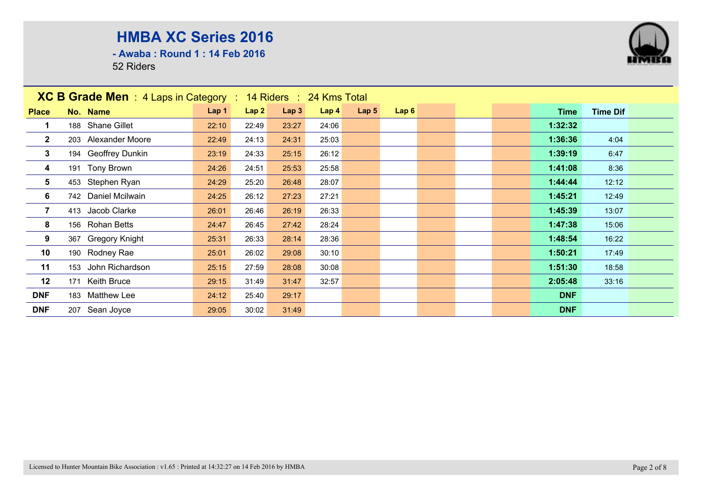**- Awaba : Round 1 : 14 Feb 2016**



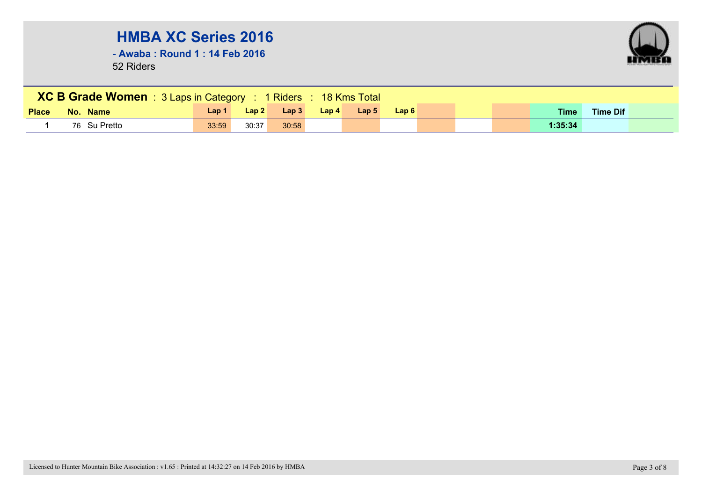**- Awaba : Round 1 : 14 Feb 2016**



|              | <b>XC B Grade Women</b> : 3 Laps in Category : 1 Riders : 18 Kms Total |       |                 |       |       |                  |      |  |  |  |         |                 |  |  |
|--------------|------------------------------------------------------------------------|-------|-----------------|-------|-------|------------------|------|--|--|--|---------|-----------------|--|--|
| <b>Place</b> | No. Name                                                               | Lap 1 | $\lfloor$ Lap 2 | Lap 3 | Lap 4 | Lap <sub>5</sub> | Lap6 |  |  |  | Time    | <b>Time Dif</b> |  |  |
|              | 76 Su Pretto                                                           | 33:59 | 30:37           | 30:58 |       |                  |      |  |  |  | 1:35:34 |                 |  |  |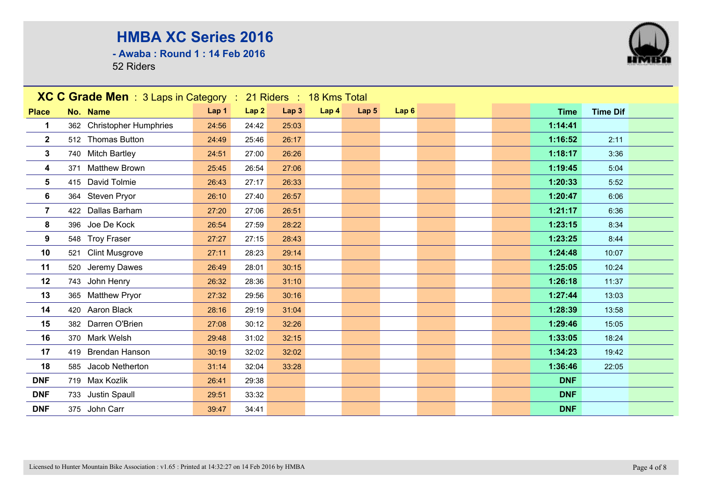**- Awaba : Round 1 : 14 Feb 2016**



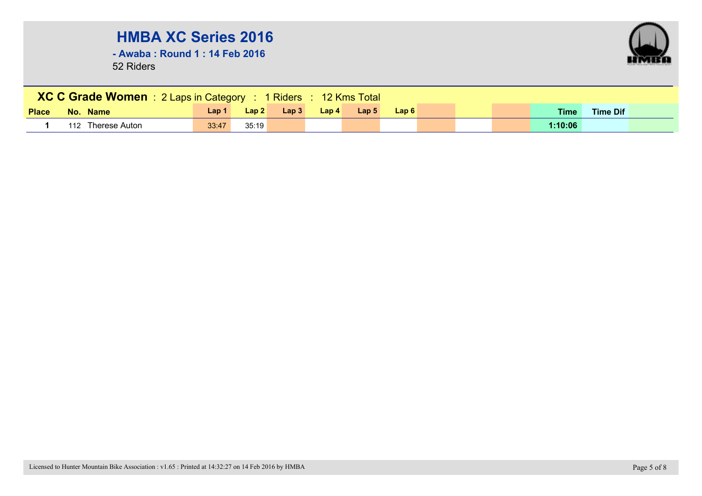**- Awaba : Round 1 : 14 Feb 2016**



|              | XC C Grade Women : 2 Laps in Category : 1 Riders : 12 Kms Total |       |       |                   |       |                  |      |  |  |  |             |                 |  |  |
|--------------|-----------------------------------------------------------------|-------|-------|-------------------|-------|------------------|------|--|--|--|-------------|-----------------|--|--|
| <b>Place</b> | No. Name                                                        | Lap 1 | Lap2  | $\mathsf{L}$ ap 3 | Lap 4 | Lap <sub>5</sub> | Lap6 |  |  |  | <b>Time</b> | <b>Time Dif</b> |  |  |
|              | 112 Therese Auton                                               | 33:47 | 35:19 |                   |       |                  |      |  |  |  | 1:10:06     |                 |  |  |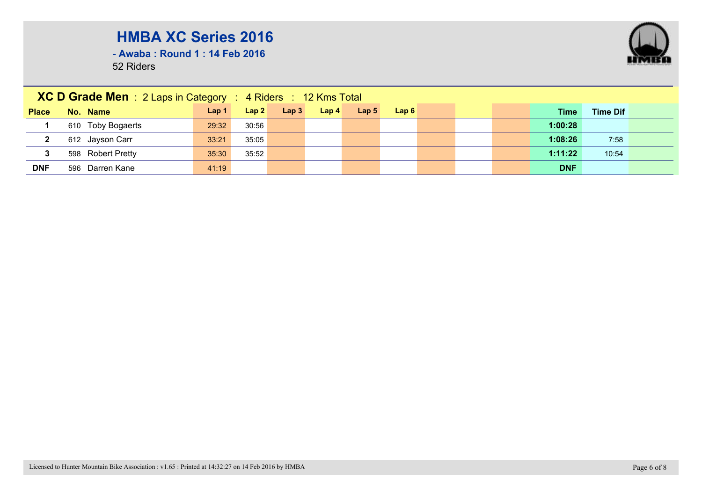**- Awaba : Round 1 : 14 Feb 2016**

|              | <b>XC D Grade Men</b> : 2 Laps in Category : 4 Riders : 12 Kms Total |                  |       |                  |                  |                  |      |  |  |  |            |                 |  |
|--------------|----------------------------------------------------------------------|------------------|-------|------------------|------------------|------------------|------|--|--|--|------------|-----------------|--|
| <b>Place</b> | No. Name                                                             | Lap <sub>1</sub> | Lap2  | Lap <sub>3</sub> | Lap <sub>4</sub> | Lap <sub>5</sub> | Lap6 |  |  |  | Time       | <b>Time Dif</b> |  |
|              | 610 Toby Bogaerts                                                    | 29:32            | 30:56 |                  |                  |                  |      |  |  |  | 1:00:28    |                 |  |
| $\mathbf{2}$ | 612 Jayson Carr                                                      | 33:21            | 35:05 |                  |                  |                  |      |  |  |  | 1:08:26    | 7:58            |  |
| 3            | 598 Robert Pretty                                                    | 35:30            | 35:52 |                  |                  |                  |      |  |  |  | 1:11:22    | 10:54           |  |
| <b>DNF</b>   | 596 Darren Kane                                                      | 41:19            |       |                  |                  |                  |      |  |  |  | <b>DNF</b> |                 |  |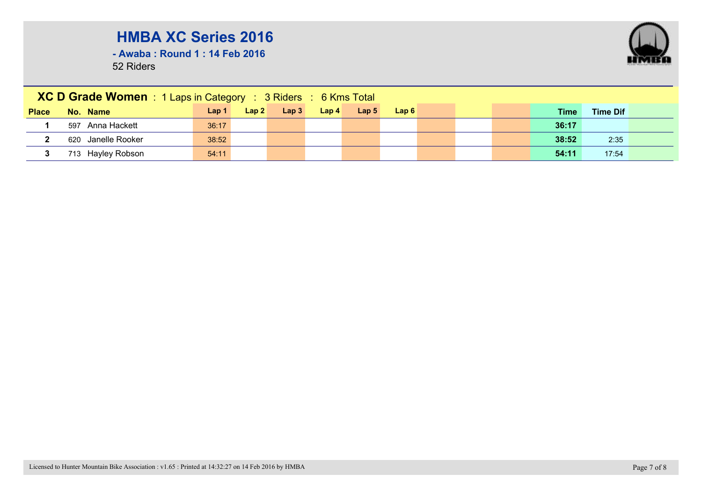**- Awaba : Round 1 : 14 Feb 2016**

|              | XC D Grade Women : 1 Laps in Category : 3 Riders : 6 Kms Total |                  |       |      |                  |                  |       |  |             |                 |  |
|--------------|----------------------------------------------------------------|------------------|-------|------|------------------|------------------|-------|--|-------------|-----------------|--|
| <b>Place</b> | No. Name                                                       | Lap <sub>1</sub> | Lap 2 | Lap3 | Lap <sub>4</sub> | Lap <sub>5</sub> | Lap 6 |  | <b>Time</b> | <b>Time Dif</b> |  |
|              | 597 Anna Hackett                                               | 36:17            |       |      |                  |                  |       |  | 36:17       |                 |  |
|              | 620 Janelle Rooker                                             | 38:52            |       |      |                  |                  |       |  | 38:52       | 2:35            |  |
|              | 713 Hayley Robson                                              | 54:11            |       |      |                  |                  |       |  | 54:11       | 17:54           |  |